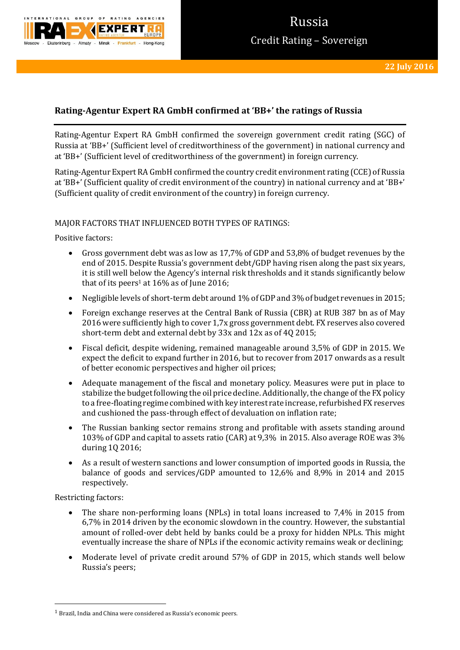

# Russia Credit Rating – Sovereign

# **Rating-Agentur Expert RA GmbH confirmed at 'BB+' the ratings of Russia**

Rating-Agentur Expert RA GmbH confirmed the sovereign government credit rating (SGC) of Russia at 'BB+' (Sufficient level of creditworthiness of the government) in national currency and at 'BB+' (Sufficient level of creditworthiness of the government) in foreign currency.

Rating-Agentur Expert RA GmbH confirmed the country credit environment rating (CCE) of Russia at 'BB+' (Sufficient quality of credit environment of the country) in national currency and at 'BB+' (Sufficient quality of credit environment of the country) in foreign currency.

# MAJOR FACTORS THAT INFLUENCED BOTH TYPES OF RATINGS:

Positive factors:

- Gross government debt was as low as 17,7% of GDP and 53,8% of budget revenues by the end of 2015. Despite Russia's government debt/GDP having risen along the past six years, it is still well below the Agency's internal risk thresholds and it stands significantly below that of its peers<sup>1</sup> at  $16\%$  as of June 2016;
- Negligible levels of short-term debt around 1% of GDP and 3% of budget revenues in 2015;
- Foreign exchange reserves at the Central Bank of Russia (CBR) at RUB 387 bn as of May 2016 were sufficiently high to cover 1,7x gross government debt. FX reserves also covered short-term debt and external debt by 33x and 12x as of 4Q 2015;
- Fiscal deficit, despite widening, remained manageable around 3,5% of GDP in 2015. We expect the deficit to expand further in 2016, but to recover from 2017 onwards as a result of better economic perspectives and higher oil prices;
- Adequate management of the fiscal and monetary policy. Measures were put in place to stabilize the budget following the oil price decline. Additionally, the change of the FX policy to a free-floating regime combined with key interest rate increase, refurbished FX reserves and cushioned the pass-through effect of devaluation on inflation rate;
- The Russian banking sector remains strong and profitable with assets standing around 103% of GDP and capital to assets ratio (CAR) at 9,3% in 2015. Also average ROE was 3% during 1Q 2016;
- As a result of western sanctions and lower consumption of imported goods in Russia, the balance of goods and services/GDP amounted to 12,6% and 8,9% in 2014 and 2015 respectively.

Restricting factors:

**.** 

- The share non-performing loans (NPLs) in total loans increased to 7,4% in 2015 from 6,7% in 2014 driven by the economic slowdown in the country. However, the substantial amount of rolled-over debt held by banks could be a proxy for hidden NPLs. This might eventually increase the share of NPLs if the economic activity remains weak or declining;
- Moderate level of private credit around 57% of GDP in 2015, which stands well below Russia's peers;

 $1$  Brazil, India and China were considered as Russia's economic peers.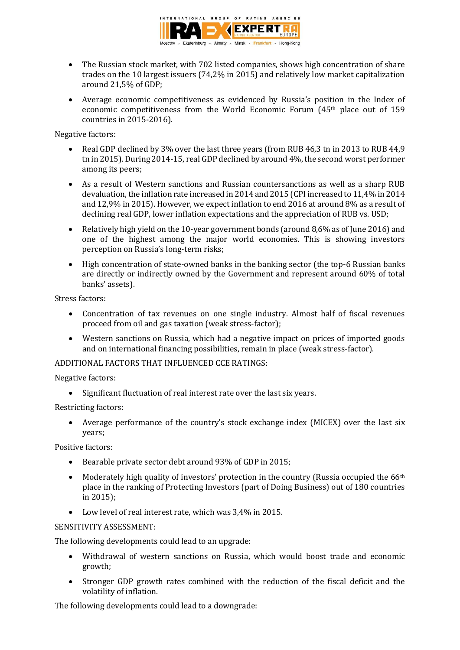

- The Russian stock market, with 702 listed companies, shows high concentration of share trades on the 10 largest issuers (74,2% in 2015) and relatively low market capitalization around 21,5% of GDP;
- Average economic competitiveness as evidenced by Russia's position in the Index of economic competitiveness from the World Economic Forum (45th place out of 159 countries in 2015-2016).

### Negative factors:

- Real GDP declined by 3% over the last three years (from RUB 46,3 tn in 2013 to RUB 44,9 tn in 2015). During 2014-15, real GDP declined by around 4%, the second worst performer among its peers;
- As a result of Western sanctions and Russian countersanctions as well as a sharp RUB devaluation, the inflation rate increased in 2014 and 2015 (CPI increased to 11,4% in 2014 and 12,9% in 2015). However, we expect inflation to end 2016 at around 8% as a result of declining real GDP, lower inflation expectations and the appreciation of RUB vs. USD;
- Relatively high yield on the 10-year government bonds (around 8,6% as of June 2016) and one of the highest among the major world economies. This is showing investors perception on Russia's long-term risks;
- High concentration of state-owned banks in the banking sector (the top-6 Russian banks are directly or indirectly owned by the Government and represent around 60% of total banks' assets).

Stress factors:

- Concentration of tax revenues on one single industry. Almost half of fiscal revenues proceed from oil and gas taxation (weak stress-factor);
- Western sanctions on Russia, which had a negative impact on prices of imported goods and on international financing possibilities, remain in place (weak stress-factor).

# ADDITIONAL FACTORS THAT INFLUENCED CCE RATINGS:

### Negative factors:

• Significant fluctuation of real interest rate over the last six years.

# Restricting factors:

 Average performance of the country's stock exchange index (MICEX) over the last six years;

Positive factors:

- Bearable private sector debt around 93% of GDP in 2015;
- $\bullet$  Moderately high quality of investors' protection in the country (Russia occupied the 66<sup>th</sup> place in the ranking of Protecting Investors (part of Doing Business) out of 180 countries in 2015);
- Low level of real interest rate, which was 3,4% in 2015.

# SENSITIVITY ASSESSMENT:

The following developments could lead to an upgrade:

- Withdrawal of western sanctions on Russia, which would boost trade and economic growth;
- Stronger GDP growth rates combined with the reduction of the fiscal deficit and the volatility of inflation.

The following developments could lead to a downgrade: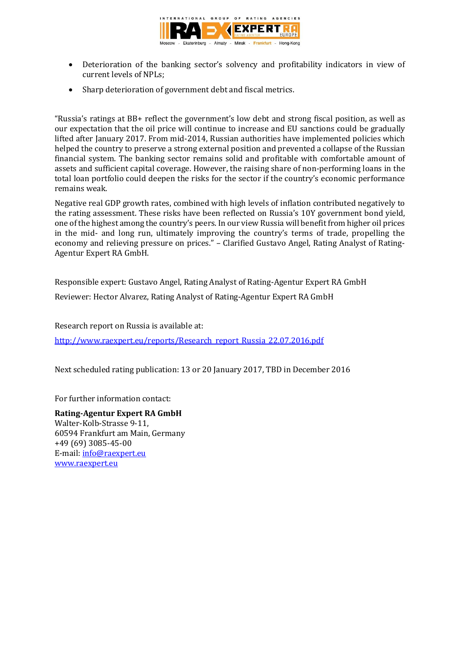

- Deterioration of the banking sector's solvency and profitability indicators in view of current levels of NPLs;
- Sharp deterioration of government debt and fiscal metrics.

"Russia's ratings at BB+ reflect the government's low debt and strong fiscal position, as well as our expectation that the oil price will continue to increase and EU sanctions could be gradually lifted after January 2017. From mid-2014, Russian authorities have implemented policies which helped the country to preserve a strong external position and prevented a collapse of the Russian financial system. The banking sector remains solid and profitable with comfortable amount of assets and sufficient capital coverage. However, the raising share of non-performing loans in the total loan portfolio could deepen the risks for the sector if the country's economic performance remains weak.

Negative real GDP growth rates, combined with high levels of inflation contributed negatively to the rating assessment. These risks have been reflected on Russia's 10Y government bond yield, one of the highest among the country's peers. In our view Russia will benefit from higher oil prices in the mid- and long run, ultimately improving the country's terms of trade, propelling the economy and relieving pressure on prices." – Clarified Gustavo Angel, Rating Analyst of Rating-Agentur Expert RA GmbH.

Responsible expert: Gustavo Angel, Rating Analyst of Rating-Agentur Expert RA GmbH

Reviewer: Hector Alvarez, Rating Analyst of Rating-Agentur Expert RA GmbH

Research report on Russia is available at: [http://www.raexpert.eu/reports/Research\\_report\\_Russia\\_22.07.2016.pdf](http://www.raexpert.eu/reports/Research_report_Russia_22.07.2016.pdf) 

Next scheduled rating publication: 13 or 20 January 2017, TBD in December 2016

For further information contact:

**Rating-Agentur Expert RA GmbH** Walter-Kolb-Strasse 9-11, 60594 Frankfurt am Main, Germany +49 (69) 3085-45-00 E-mail[: info@raexpert.eu](mailto:info@raexpert.eu) [www.raexpert.eu](http://raexpert.eu/)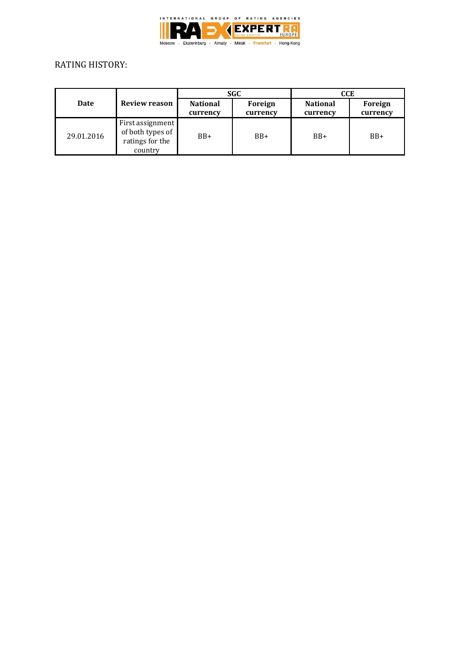

# RATING HISTORY:

| Date       | Review reason                                                      | <b>SGC</b>                  |                     | CCE                         |                     |
|------------|--------------------------------------------------------------------|-----------------------------|---------------------|-----------------------------|---------------------|
|            |                                                                    | <b>National</b><br>currency | Foreign<br>currency | <b>National</b><br>currency | Foreign<br>currency |
| 29.01.2016 | First assignment<br>of both types of<br>ratings for the<br>country | $BB+$                       | $BB+$               | $BB+$                       | $BB+$               |